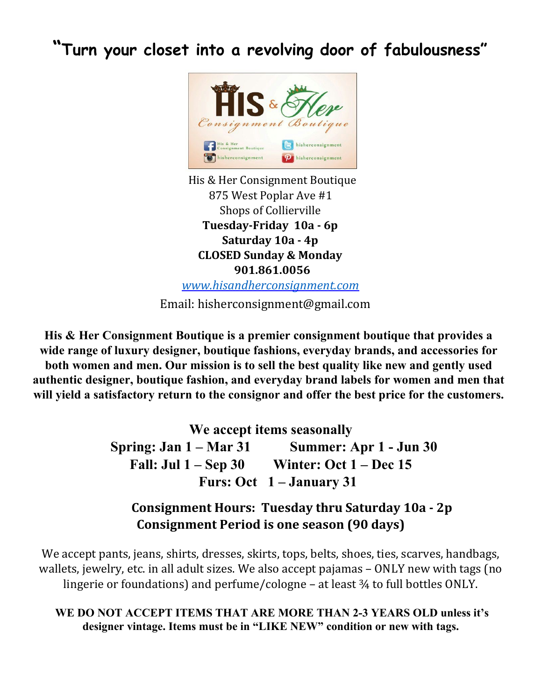**"Turn your closet into a revolving door of fabulousness"**



His & Her Consignment Boutique 875 West Poplar Ave #1 Shops of Collierville **Tuesday-Friday 10a - 6p Saturday 10a - 4p CLOSED Sunday & Monday 901.861.0056** *[www.hisandherconsignment.com](http://www.hisandherconsignment.com/)*

Email: hisherconsignment@gmail.com

**His & Her Consignment Boutique is a premier consignment boutique that provides a wide range of luxury designer, boutique fashions, everyday brands, and accessories for both women and men. Our mission is to sell the best quality like new and gently used authentic designer, boutique fashion, and everyday brand labels for women and men that will yield a satisfactory return to the consignor and offer the best price for the customers.**

**We accept items seasonally**

**Spring: Jan 1 – Mar 31 Summer: Apr 1 - Jun 30 Fall: Jul 1 – Sep 30 Winter: Oct 1 – Dec 15 Furs: Oct 1 – January 31**

## **Consignment Hours: Tuesday thru Saturday 10a - 2p Consignment Period is one season (90 days)**

We accept pants, jeans, shirts, dresses, skirts, tops, belts, shoes, ties, scarves, handbags, wallets, jewelry, etc. in all adult sizes. We also accept pajamas – ONLY new with tags (no lingerie or foundations) and perfume/cologne – at least ¾ to full bottles ONLY.

**WE DO NOT ACCEPT ITEMS THAT ARE MORE THAN 2-3 YEARS OLD unless it's designer vintage. Items must be in "LIKE NEW" condition or new with tags.**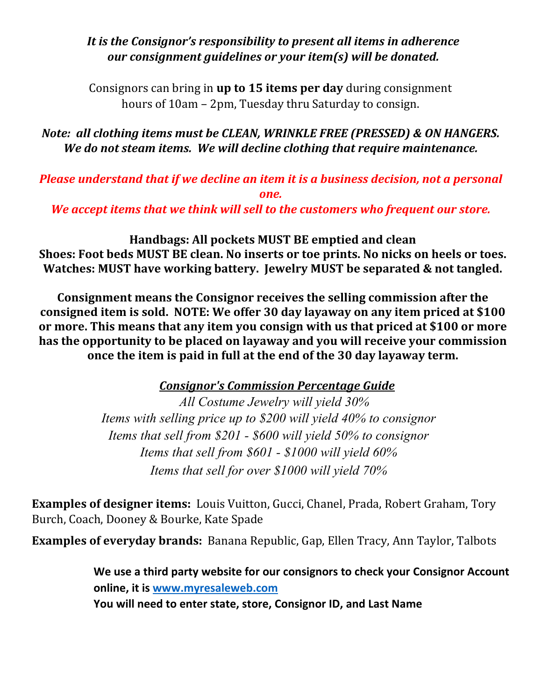## *It is the Consignor's responsibility to present all items in adherence our consignment guidelines or your item(s) will be donated.*

Consignors can bring in **up to 15 items per day** during consignment hours of 10am – 2pm, Tuesday thru Saturday to consign.

*Note: all clothing items must be CLEAN, WRINKLE FREE (PRESSED) & ON HANGERS. We do not steam items. We will decline clothing that require maintenance.*

*Please understand that if we decline an item it is a business decision, not a personal one.*

*We accept items that we think will sell to the customers who frequent our store.*

**Handbags: All pockets MUST BE emptied and clean Shoes: Foot beds MUST BE clean. No inserts or toe prints. No nicks on heels or toes. Watches: MUST have working battery. Jewelry MUST be separated & not tangled.**

**Consignment means the Consignor receives the selling commission after the consigned item is sold. NOTE: We offer 30 day layaway on any item priced at \$100 or more. This means that any item you consign with us that priced at \$100 or more has the opportunity to be placed on layaway and you will receive your commission once the item is paid in full at the end of the 30 day layaway term.**

*Consignor's Commission Percentage Guide*

 *All Costume Jewelry will yield 30% Items with selling price up to \$200 will yield 40% to consignor Items that sell from \$201 - \$600 will yield 50% to consignor Items that sell from \$601 - \$1000 will yield 60% Items that sell for over \$1000 will yield 70%*

**Examples of designer items:** Louis Vuitton, Gucci, Chanel, Prada, Robert Graham, Tory Burch, Coach, Dooney & Bourke, Kate Spade

**Examples of everyday brands:** Banana Republic, Gap, Ellen Tracy, Ann Taylor, Talbots

**We use a third party website for our consignors to check your Consignor Account online, it is www.myresaleweb.com You will need to enter state, store, Consignor ID, and Last Name**